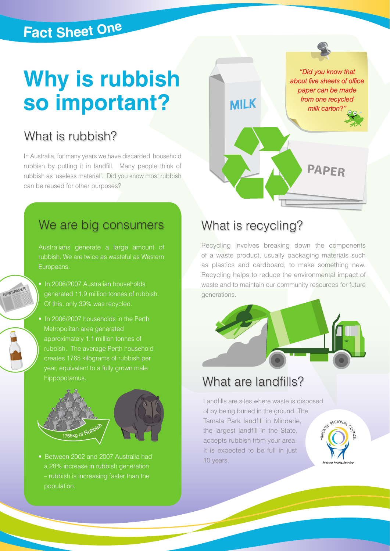## **Fact Sheet One**

# **Why is rubbish** so important?

### What is rubbish?

In Australia, for many years we have discarded household rubbish by putting it in landfill. Many people think of rubbish as 'useless material'. Did you know most rubbish can be reused for other purposes?

### We are big consumers

Australians generate a large amount of rubbish. We are twice as wasteful as Western Europeans.

• In 2006/2007 Australian households generated 11.9 million tonnes of rubbish. Of this, only 39% was recycled.

NEWSPAPER

• In 2006/2007 households in the Perth Metropolitan area generated approximately 1.1 million tonnes of rubbish. The average Perth household creates 1765 kilograms of rubbish per year, equivalent to a fully grown male hippopotamus.



• Between 2002 and 2007 Australia had a 28% increase in rubbish generation – rubbish is increasing faster than the population.

### What is recycling?

**MILK** 

Recycling involves breaking down the components of a waste product, usually packaging materials such as plastics and cardboard, to make something new. Recycling helps to reduce the environmental impact of waste and to maintain our community resources for future generations.

**PAPER**

"Did you know that

about five sheets of office paper can be made

from one recycled

milk carton?"



### What are landfills?

Landfills are sites where waste is disposed of by being buried in the ground. The Tamala Park landfill in Mindarie, the largest landfill in the State, accepts rubbish from your area. It is expected to be full in just 10 years.